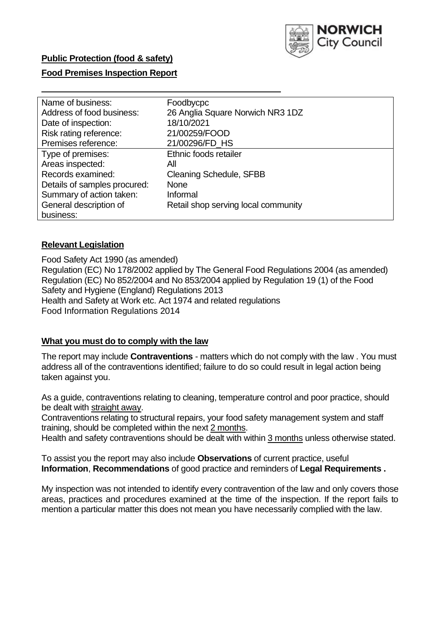

### **Public Protection (food & safety)**

### **Food Premises Inspection Report**

| Name of business:            | Foodbycpc                           |
|------------------------------|-------------------------------------|
| Address of food business:    | 26 Anglia Square Norwich NR3 1DZ    |
| Date of inspection:          | 18/10/2021                          |
| Risk rating reference:       | 21/00259/FOOD                       |
| Premises reference:          | 21/00296/FD_HS                      |
| Type of premises:            | Ethnic foods retailer               |
| Areas inspected:             | All                                 |
| Records examined:            | <b>Cleaning Schedule, SFBB</b>      |
| Details of samples procured: | <b>None</b>                         |
| Summary of action taken:     | Informal                            |
| General description of       | Retail shop serving local community |
| business:                    |                                     |

#### **Relevant Legislation**

 Food Safety Act 1990 (as amended) Regulation (EC) No 178/2002 applied by The General Food Regulations 2004 (as amended) Regulation (EC) No 852/2004 and No 853/2004 applied by Regulation 19 (1) of the Food Safety and Hygiene (England) Regulations 2013 Health and Safety at Work etc. Act 1974 and related regulations Food Information Regulations 2014

#### **What you must do to comply with the law**

 The report may include **Contraventions** - matters which do not comply with the law . You must address all of the contraventions identified; failure to do so could result in legal action being taken against you.

 As a guide, contraventions relating to cleaning, temperature control and poor practice, should be dealt with straight away.

 Contraventions relating to structural repairs, your food safety management system and staff training, should be completed within the next 2 months.

Health and safety contraventions should be dealt with within 3 months unless otherwise stated.

 To assist you the report may also include **Observations** of current practice, useful **Information**, **Recommendations** of good practice and reminders of **Legal Requirements .** 

 My inspection was not intended to identify every contravention of the law and only covers those areas, practices and procedures examined at the time of the inspection. If the report fails to mention a particular matter this does not mean you have necessarily complied with the law.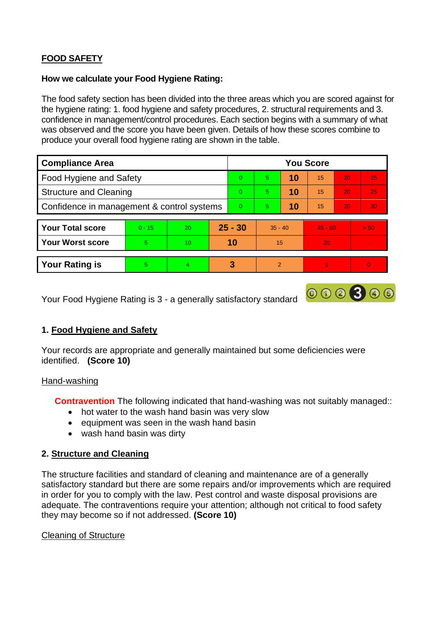# **FOOD SAFETY**

### **How we calculate your Food Hygiene Rating:**

 The food safety section has been divided into the three areas which you are scored against for the hygiene rating: 1. food hygiene and safety procedures, 2. structural requirements and 3. confidence in management/control procedures. Each section begins with a summary of what was observed and the score you have been given. Details of how these scores combine to produce your overall food hygiene rating are shown in the table.

| <b>Compliance Area</b>                     |          |                |           | <b>You Score</b> |                |    |           |    |        |  |  |
|--------------------------------------------|----------|----------------|-----------|------------------|----------------|----|-----------|----|--------|--|--|
| Food Hygiene and Safety                    |          |                |           | $\Omega$         | 5              | 10 | 15        | 20 | 25     |  |  |
| <b>Structure and Cleaning</b>              |          |                |           | $\Omega$         | 5              | 10 | 15        | 20 | 25     |  |  |
| Confidence in management & control systems |          |                | $\Omega$  | 5                | 10             | 15 | 20        | 30 |        |  |  |
|                                            |          |                |           |                  |                |    |           |    |        |  |  |
| <b>Your Total score</b>                    | $0 - 15$ | 20             | $25 - 30$ |                  | $35 - 40$      |    | $45 - 50$ |    | > 50   |  |  |
| <b>Your Worst score</b>                    | 5.       | 10             | 10        |                  | 15             |    | 20        |    | $\sim$ |  |  |
|                                            |          |                |           |                  |                |    |           |    |        |  |  |
| <b>Your Rating is</b>                      | 5        | $\overline{4}$ |           | 3                | $\overline{2}$ |    |           |    |        |  |  |

Your Food Hygiene Rating is 3 - a generally satisfactory standard

## **1. Food Hygiene and Safety**

Your records are appropriate and generally maintained but some deficiencies were identified. **(Score 10)** 

### Hand-washing

**Contravention** The following indicated that hand-washing was not suitably managed::

000300

- hot water to the wash hand basin was very slow
- equipment was seen in the wash hand basin
- wash hand basin was dirty

## **2. Structure and Cleaning**

 satisfactory standard but there are some repairs and/or improvements which are required The structure facilities and standard of cleaning and maintenance are of a generally in order for you to comply with the law. Pest control and waste disposal provisions are adequate. The contraventions require your attention; although not critical to food safety they may become so if not addressed. **(Score 10)** 

### Cleaning of Structure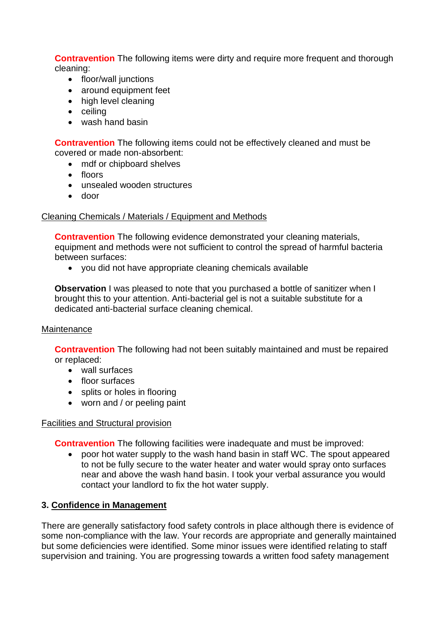**Contravention** The following items were dirty and require more frequent and thorough cleaning:

- floor/wall junctions
- around equipment feet
- high level cleaning
- ceiling
- wash hand basin

**Contravention** The following items could not be effectively cleaned and must be covered or made non-absorbent:

- mdf or chipboard shelves
- floors
- unsealed wooden structures
- door

### Cleaning Chemicals / Materials / Equipment and Methods

**Contravention** The following evidence demonstrated your cleaning materials, equipment and methods were not sufficient to control the spread of harmful bacteria between surfaces:

• you did not have appropriate cleaning chemicals available

**Observation** I was pleased to note that you purchased a bottle of sanitizer when I brought this to your attention. Anti-bacterial gel is not a suitable substitute for a dedicated anti-bacterial surface cleaning chemical.

### **Maintenance**

**Contravention** The following had not been suitably maintained and must be repaired or replaced:

- wall surfaces
- floor surfaces
- splits or holes in flooring
- worn and / or peeling paint

### Facilities and Structural provision

**Contravention** The following facilities were inadequate and must be improved:

• poor hot water supply to the wash hand basin in staff WC. The spout appeared to not be fully secure to the water heater and water would spray onto surfaces near and above the wash hand basin. I took your verbal assurance you would contact your landlord to fix the hot water supply.

## **3. Confidence in Management**

 but some deficiencies were identified. Some minor issues were identified relating to staff There are generally satisfactory food safety controls in place although there is evidence of some non-compliance with the law. Your records are appropriate and generally maintained supervision and training. You are progressing towards a written food safety management